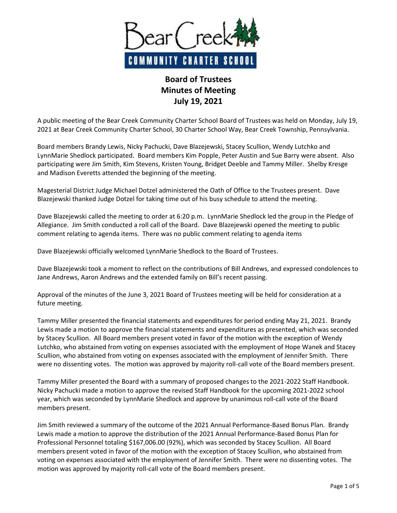

## **Board of Trustees Minutes of Meeting July 19, 2021**

A public meeting of the Bear Creek Community Charter School Board of Trustees was held on Monday, July 19, 2021 at Bear Creek Community Charter School, 30 Charter School Way, Bear Creek Township, Pennsylvania.

Board members Brandy Lewis, Nicky Pachucki, Dave Blazejewski, Stacey Scullion, Wendy Lutchko and LynnMarie Shedlock participated. Board members Kim Popple, Peter Austin and Sue Barry were absent. Also participating were Jim Smith, Kim Stevens, Kristen Young, Bridget Deeble and Tammy Miller. Shelby Kresge and Madison Everetts attended the beginning of the meeting.

Magesterial District Judge Michael Dotzel administered the Oath of Office to the Trustees present. Dave Blazejewski thanked Judge Dotzel for taking time out of his busy schedule to attend the meeting.

Dave Blazejewski called the meeting to order at 6:20 p.m. LynnMarie Shedlock led the group in the Pledge of Allegiance. Jim Smith conducted a roll call of the Board. Dave Blazejewski opened the meeting to public comment relating to agenda items. There was no public comment relating to agenda items

Dave Blazejewski officially welcomed LynnMarie Shedlock to the Board of Trustees.

Dave Blazejewski took a moment to reflect on the contributions of Bill Andrews, and expressed condolences to Jane Andrews, Aaron Andrews and the extended family on Bill's recent passing.

Approval of the minutes of the June 3, 2021 Board of Trustees meeting will be held for consideration at a future meeting.

Tammy Miller presented the financial statements and expenditures for period ending May 21, 2021. Brandy Lewis made a motion to approve the financial statements and expenditures as presented, which was seconded by Stacey Scullion. All Board members present voted in favor of the motion with the exception of Wendy Lutchko, who abstained from voting on expenses associated with the employment of Hope Wanek and Stacey Scullion, who abstained from voting on expenses associated with the employment of Jennifer Smith. There were no dissenting votes. The motion was approved by majority roll-call vote of the Board members present.

Tammy Miller presented the Board with a summary of proposed changes to the 2021-2022 Staff Handbook. Nicky Pachucki made a motion to approve the revised Staff Handbook for the upcoming 2021-2022 school year, which was seconded by LynnMarie Shedlock and approve by unanimous roll-call vote of the Board members present.

Jim Smith reviewed a summary of the outcome of the 2021 Annual Performance-Based Bonus Plan. Brandy Lewis made a motion to approve the distribution of the 2021 Annual Performance-Based Bonus Plan for Professional Personnel totaling \$167,006.00 (92%), which was seconded by Stacey Scullion. All Board members present voted in favor of the motion with the exception of Stacey Scullion, who abstained from voting on expenses associated with the employment of Jennifer Smith. There were no dissenting votes. The motion was approved by majority roll-call vote of the Board members present.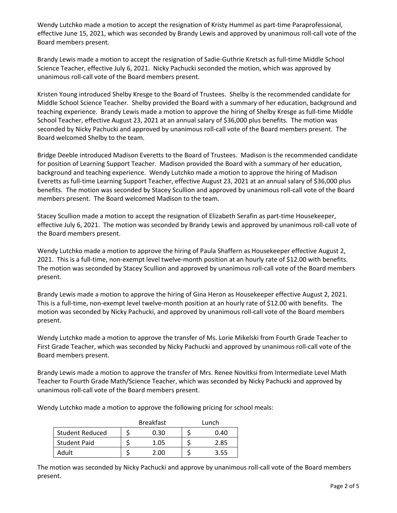Wendy Lutchko made a motion to accept the resignation of Kristy Hummel as part-time Paraprofessional, effective June 15, 2021, which was seconded by Brandy Lewis and approved by unanimous roll-call vote of the Board members present.

Brandy Lewis made a motion to accept the resignation of Sadie-Guthrie Kretsch as full-time Middle School Science Teacher, effective July 6, 2021. Nicky Pachucki seconded the motion, which was approved by unanimous roll-call vote of the Board members present.

Kristen Young introduced Shelby Kresge to the Board of Trustees. Shelby is the recommended candidate for Middle School Science Teacher. Shelby provided the Board with a summary of her education, background and teaching experience. Brandy Lewis made a motion to approve the hiring of Shelby Kresge as full-time Middle School Teacher, effective August 23, 2021 at an annual salary of \$36,000 plus benefits. The motion was seconded by Nicky Pachucki and approved by unanimous roll-call vote of the Board members present. The Board welcomed Shelby to the team.

Bridge Deeble introduced Madison Everetts to the Board of Trustees. Madison is the recommended candidate for position of Learning Support Teacher. Madison provided the Board with a summary of her education, background and teaching experience. Wendy Lutchko made a motion to approve the hiring of Madison Everetts as full-time Learning Support Teacher, effective August 23, 2021 at an annual salary of \$36,000 plus benefits. The motion was seconded by Stacey Scullion and approved by unanimous roll-call vote of the Board members present. The Board welcomed Madison to the team.

Stacey Scullion made a motion to accept the resignation of Elizabeth Serafin as part-time Housekeeper, effective July 6, 2021. The motion was seconded by Brandy Lewis and approved by unanimous roll-call vote of the Board members present.

Wendy Lutchko made a motion to approve the hiring of Paula Shaffern as Housekeeper effective August 2, 2021. This is a full-time, non-exempt level twelve-month position at an hourly rate of \$12.00 with benefits. The motion was seconded by Stacey Scullion and approved by unanimous roll-call vote of the Board members present.

Brandy Lewis made a motion to approve the hiring of Gina Heron as Housekeeper effective August 2, 2021. This is a full-time, non-exempt level twelve-month position at an hourly rate of \$12.00 with benefits. The motion was seconded by Nicky Pachucki, and approved by unanimous roll-call vote of the Board members present.

Wendy Lutchko made a motion to approve the transfer of Ms. Lorie Mikelski from Fourth Grade Teacher to First Grade Teacher, which was seconded by Nicky Pachucki and approved by unanimous roll-call vote of the Board members present.

Brandy Lewis made a motion to approve the transfer of Mrs. Renee Novitksi from Intermediate Level Math Teacher to Fourth Grade Math/Science Teacher, which was seconded by Nicky Pachucki and approved by unanimous roll-call vote of the Board members present.

Wendy Lutchko made a motion to approve the following pricing for school meals:

|                        | <b>Breakfast</b> | Lunch |
|------------------------|------------------|-------|
| <b>Student Reduced</b> | 0.30             | 0.40  |
| <b>Student Paid</b>    | 1.05             | 2.85  |
| Adult                  | חח י             | 3.55  |

The motion was seconded by Nicky Pachucki and approve by unanimous roll-call vote of the Board members present.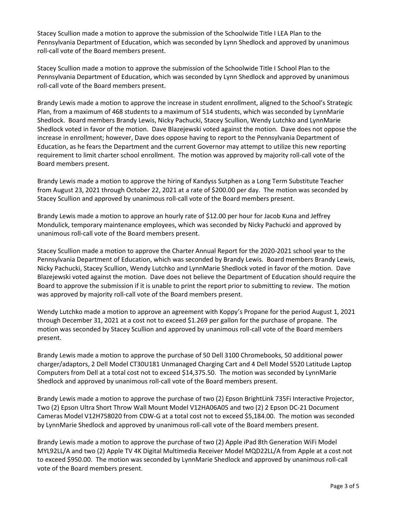Stacey Scullion made a motion to approve the submission of the Schoolwide Title I LEA Plan to the Pennsylvania Department of Education, which was seconded by Lynn Shedlock and approved by unanimous roll-call vote of the Board members present.

Stacey Scullion made a motion to approve the submission of the Schoolwide Title I School Plan to the Pennsylvania Department of Education, which was seconded by Lynn Shedlock and approved by unanimous roll-call vote of the Board members present.

Brandy Lewis made a motion to approve the increase in student enrollment, aligned to the School's Strategic Plan, from a maximum of 468 students to a maximum of 514 students, which was seconded by LynnMarie Shedlock. Board members Brandy Lewis, Nicky Pachucki, Stacey Scullion, Wendy Lutchko and LynnMarie Shedlock voted in favor of the motion. Dave Blazejewski voted against the motion. Dave does not oppose the increase in enrollment; however, Dave does oppose having to report to the Pennsylvania Department of Education, as he fears the Department and the current Governor may attempt to utilize this new reporting requirement to limit charter school enrollment. The motion was approved by majority roll-call vote of the Board members present.

Brandy Lewis made a motion to approve the hiring of Kandyss Sutphen as a Long Term Substitute Teacher from August 23, 2021 through October 22, 2021 at a rate of \$200.00 per day. The motion was seconded by Stacey Scullion and approved by unanimous roll-call vote of the Board members present.

Brandy Lewis made a motion to approve an hourly rate of \$12.00 per hour for Jacob Kuna and Jeffrey Mondulick, temporary maintenance employees, which was seconded by Nicky Pachucki and approved by unanimous roll-call vote of the Board members present.

Stacey Scullion made a motion to approve the Charter Annual Report for the 2020-2021 school year to the Pennsylvania Department of Education, which was seconded by Brandy Lewis. Board members Brandy Lewis, Nicky Pachucki, Stacey Scullion, Wendy Lutchko and LynnMarie Shedlock voted in favor of the motion. Dave Blazejewski voted against the motion. Dave does not believe the Department of Education should require the Board to approve the submission if it is unable to print the report prior to submitting to review. The motion was approved by majority roll-call vote of the Board members present.

Wendy Lutchko made a motion to approve an agreement with Koppy's Propane for the period August 1, 2021 through December 31, 2021 at a cost not to exceed \$1.269 per gallon for the purchase of propane. The motion was seconded by Stacey Scullion and approved by unanimous roll-call vote of the Board members present.

Brandy Lewis made a motion to approve the purchase of 50 Dell 3100 Chromebooks, 50 additional power charger/adaptors, 2 Dell Model CT30U181 Unmanaged Charging Cart and 4 Dell Model 5520 Latitude Laptop Computers from Dell at a total cost not to exceed \$14,375.50. The motion was seconded by LynnMarie Shedlock and approved by unanimous roll-call vote of the Board members present.

Brandy Lewis made a motion to approve the purchase of two (2) Epson BrightLink 735Fi Interactive Projector, Two (2) Epson Ultra Short Throw Wall Mount Model V12HA06A05 and two (2) 2 Epson DC-21 Document Cameras Model V12H758020 from CDW-G at a total cost not to exceed \$5,184.00. The motion was seconded by LynnMarie Shedlock and approved by unanimous roll-call vote of the Board members present.

Brandy Lewis made a motion to approve the purchase of two (2) Apple iPad 8th Generation WiFi Model MYL92LL/A and two (2) Apple TV 4K Digital Multimedia Receiver Model MQD22LL/A from Apple at a cost not to exceed \$950.00. The motion was seconded by LynnMarie Shedlock and approved by unanimous roll-call vote of the Board members present.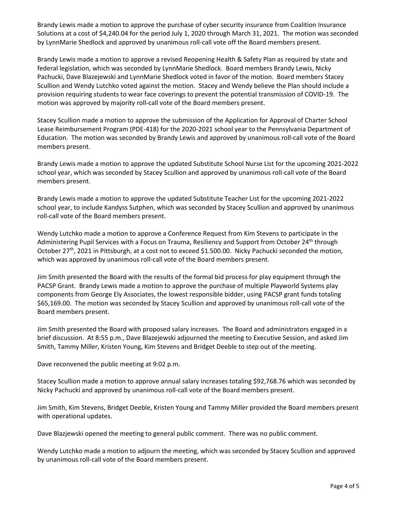Brandy Lewis made a motion to approve the purchase of cyber security insurance from Coalition Insurance Solutions at a cost of \$4,240.04 for the period July 1, 2020 through March 31, 2021. The motion was seconded by LynnMarie Shedlock and approved by unanimous roll-call vote off the Board members present.

Brandy Lewis made a motion to approve a revised Reopening Health & Safety Plan as required by state and federal legislation, which was seconded by LynnMarie Shedlock. Board members Brandy Lewis, Nicky Pachucki, Dave Blazejewski and LynnMarie Shedlock voted in favor of the motion. Board members Stacey Scullion and Wendy Lutchko voted against the motion. Stacey and Wendy believe the Plan should include a provision requiring students to wear face coverings to prevent the potential transmission of COVID-19. The motion was approved by majority roll-call vote of the Board members present.

Stacey Scullion made a motion to approve the submission of the Application for Approval of Charter School Lease Reimbursement Program (PDE-418) for the 2020-2021 school year to the Pennsylvania Department of Education. The motion was seconded by Brandy Lewis and approved by unanimous roll-call vote of the Board members present.

Brandy Lewis made a motion to approve the updated Substitute School Nurse List for the upcoming 2021-2022 school year, which was seconded by Stacey Scullion and approved by unanimous roll-call vote of the Board members present.

Brandy Lewis made a motion to approve the updated Substitute Teacher List for the upcoming 2021-2022 school year, to include Kandyss Sutphen, which was seconded by Stacey Scullion and approved by unanimous roll-call vote of the Board members present.

Wendy Lutchko made a motion to approve a Conference Request from Kim Stevens to participate in the Administering Pupil Services with a Focus on Trauma, Resiliency and Support from October 24<sup>th</sup> through October 27<sup>th</sup>, 2021 in Pittsburgh, at a cost not to exceed \$1.500.00. Nicky Pachucki seconded the motion, which was approved by unanimous roll-call vote of the Board members present.

Jim Smith presented the Board with the results of the formal bid process for play equipment through the PACSP Grant. Brandy Lewis made a motion to approve the purchase of multiple Playworld Systems play components from George Ely Associates, the lowest responsible bidder, using PACSP grant funds totaling \$65,169.00. The motion was seconded by Stacey Scullion and approved by unanimous roll-call vote of the Board members present.

Jim Smith presented the Board with proposed salary increases. The Board and administrators engaged in a brief discussion. At 8:55 p.m., Dave Blazejewski adjourned the meeting to Executive Session, and asked Jim Smith, Tammy Miller, Kristen Young, Kim Stevens and Bridget Deeble to step out of the meeting.

Dave reconvened the public meeting at 9:02 p.m.

Stacey Scullion made a motion to approve annual salary increases totaling \$92,768.76 which was seconded by Nicky Pachucki and approved by unanimous roll-call vote of the Board members present.

Jim Smith, Kim Stevens, Bridget Deeble, Kristen Young and Tammy Miller provided the Board members present with operational updates.

Dave Blazjewski opened the meeting to general public comment. There was no public comment.

Wendy Lutchko made a motion to adjourn the meeting, which was seconded by Stacey Scullion and approved by unanimous roll-call vote of the Board members present.